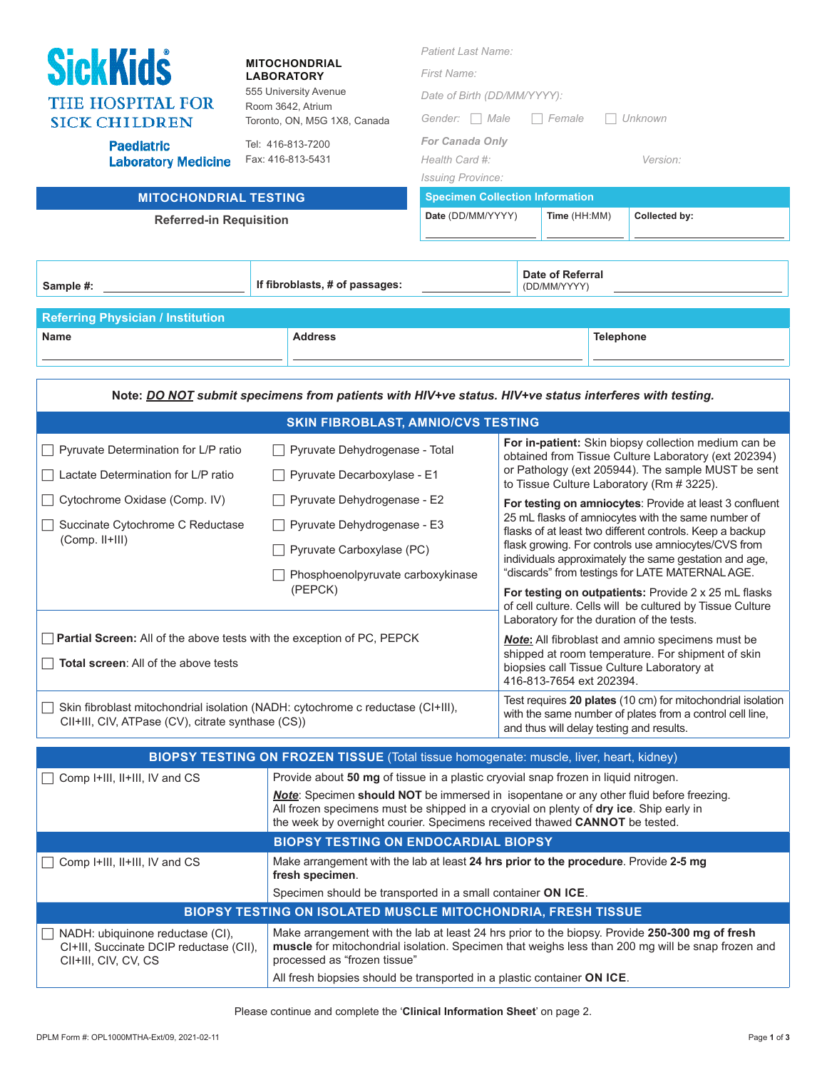| <b>SickKids</b><br><b>MITOCHONDRIAL</b><br>LABORATORY<br>555 University Avenue<br><b>THE HOSPITAL FOR</b><br>Room 3642, Atrium<br><b>SICK CHILDREN</b><br>Toronto, ON, M5G 1X8, Canada<br><b>Paediatric</b><br>Tel: 416-813-7200<br>Fax: 416-813-5431<br><b>Laboratory Medicine</b><br><b>MITOCHONDRIAL TESTING</b><br><b>Referred-in Requisition</b> |                                                                                                               | <b>Patient Last Name:</b><br>First Name:<br>Date of Birth (DD/MM/YYYY):<br>Gender: Male<br>Female<br>Unknown<br><b>For Canada Only</b><br>Health Card #:<br>Version:<br><b>Issuing Province:</b><br><b>Specimen Collection Information</b><br>Date (DD/MM/YYYY)<br>Collected by:<br>Time (HH:MM) |                                                                                                                                                                      |                                                                                                              |  |  |
|-------------------------------------------------------------------------------------------------------------------------------------------------------------------------------------------------------------------------------------------------------------------------------------------------------------------------------------------------------|---------------------------------------------------------------------------------------------------------------|--------------------------------------------------------------------------------------------------------------------------------------------------------------------------------------------------------------------------------------------------------------------------------------------------|----------------------------------------------------------------------------------------------------------------------------------------------------------------------|--------------------------------------------------------------------------------------------------------------|--|--|
| Sample #:                                                                                                                                                                                                                                                                                                                                             | If fibroblasts, # of passages:                                                                                |                                                                                                                                                                                                                                                                                                  | (DD/MM/YYYY)                                                                                                                                                         | Date of Referral                                                                                             |  |  |
| <b>Referring Physician / Institution</b>                                                                                                                                                                                                                                                                                                              |                                                                                                               |                                                                                                                                                                                                                                                                                                  |                                                                                                                                                                      |                                                                                                              |  |  |
| <b>Name</b>                                                                                                                                                                                                                                                                                                                                           | <b>Address</b>                                                                                                |                                                                                                                                                                                                                                                                                                  |                                                                                                                                                                      | <b>Telephone</b>                                                                                             |  |  |
|                                                                                                                                                                                                                                                                                                                                                       | Note: <b>DO NOT</b> submit specimens from patients with HIV+ve status. HIV+ve status interferes with testing. |                                                                                                                                                                                                                                                                                                  |                                                                                                                                                                      |                                                                                                              |  |  |
|                                                                                                                                                                                                                                                                                                                                                       | <b>SKIN FIBROBLAST, AMNIO/CVS TESTING</b>                                                                     |                                                                                                                                                                                                                                                                                                  |                                                                                                                                                                      |                                                                                                              |  |  |
| Pyruvate Determination for L/P ratio                                                                                                                                                                                                                                                                                                                  | Pyruvate Dehydrogenase - Total                                                                                |                                                                                                                                                                                                                                                                                                  | For in-patient: Skin biopsy collection medium can be<br>obtained from Tissue Culture Laboratory (ext 202394)                                                         |                                                                                                              |  |  |
| Lactate Determination for L/P ratio                                                                                                                                                                                                                                                                                                                   | Pyruvate Decarboxylase - E1                                                                                   |                                                                                                                                                                                                                                                                                                  |                                                                                                                                                                      | or Pathology (ext 205944). The sample MUST be sent<br>to Tissue Culture Laboratory (Rm # 3225).              |  |  |
| Cytochrome Oxidase (Comp. IV)                                                                                                                                                                                                                                                                                                                         | Pyruvate Dehydrogenase - E2                                                                                   |                                                                                                                                                                                                                                                                                                  | For testing on amniocytes: Provide at least 3 confluent                                                                                                              |                                                                                                              |  |  |
| Succinate Cytochrome C Reductase                                                                                                                                                                                                                                                                                                                      | Pyruvate Dehydrogenase - E3                                                                                   |                                                                                                                                                                                                                                                                                                  | 25 mL flasks of amniocytes with the same number of<br>flasks of at least two different controls. Keep a backup                                                       |                                                                                                              |  |  |
| (Comp. II+III)                                                                                                                                                                                                                                                                                                                                        |                                                                                                               | Pyruvate Carboxylase (PC)                                                                                                                                                                                                                                                                        |                                                                                                                                                                      | flask growing. For controls use amniocytes/CVS from<br>individuals approximately the same gestation and age, |  |  |
|                                                                                                                                                                                                                                                                                                                                                       | Phosphoenolpyruvate carboxykinase<br>(PEPCK)                                                                  |                                                                                                                                                                                                                                                                                                  | "discards" from testings for LATE MATERNAL AGE.<br>For testing on outpatients: Provide 2 x 25 mL flasks<br>of cell culture. Cells will be cultured by Tissue Culture |                                                                                                              |  |  |
| Partial Screen: All of the above tests with the exception of PC, PEPCK                                                                                                                                                                                                                                                                                |                                                                                                               | Laboratory for the duration of the tests.<br><b>Note:</b> All fibroblast and amnio specimens must be                                                                                                                                                                                             |                                                                                                                                                                      |                                                                                                              |  |  |
|                                                                                                                                                                                                                                                                                                                                                       |                                                                                                               |                                                                                                                                                                                                                                                                                                  | shipped at room temperature. For shipment of skin<br>biopsies call Tissue Culture Laboratory at<br>416-813-7654 ext 202394.                                          |                                                                                                              |  |  |
| $\Box$ Total screen: All of the above tests                                                                                                                                                                                                                                                                                                           |                                                                                                               |                                                                                                                                                                                                                                                                                                  |                                                                                                                                                                      |                                                                                                              |  |  |
| Skin fibroblast mitochondrial isolation (NADH: cytochrome c reductase (CI+III),<br>CII+III, CIV, ATPase (CV), citrate synthase (CS))                                                                                                                                                                                                                  |                                                                                                               | Test requires 20 plates (10 cm) for mitochondrial isolation<br>with the same number of plates from a control cell line,<br>and thus will delay testing and results.                                                                                                                              |                                                                                                                                                                      |                                                                                                              |  |  |
|                                                                                                                                                                                                                                                                                                                                                       | BIOPSY TESTING ON FROZEN TISSUE (Total tissue homogenate: muscle, liver, heart, kidney)                       |                                                                                                                                                                                                                                                                                                  |                                                                                                                                                                      |                                                                                                              |  |  |
| Comp I+III, II+III, IV and CS                                                                                                                                                                                                                                                                                                                         | Provide about 50 mg of tissue in a plastic cryovial snap frozen in liquid nitrogen.                           |                                                                                                                                                                                                                                                                                                  |                                                                                                                                                                      |                                                                                                              |  |  |
|                                                                                                                                                                                                                                                                                                                                                       |                                                                                                               | <b>Note:</b> Specimen should NOT be immersed in isopentane or any other fluid before freezing.<br>All frozen specimens must be shipped in a cryovial on plenty of dry ice. Ship early in<br>the week by overnight courier. Specimens received thawed CANNOT be tested.                           |                                                                                                                                                                      |                                                                                                              |  |  |
|                                                                                                                                                                                                                                                                                                                                                       |                                                                                                               | <b>BIOPSY TESTING ON ENDOCARDIAL BIOPSY</b>                                                                                                                                                                                                                                                      |                                                                                                                                                                      |                                                                                                              |  |  |
| Comp I+III, II+III, IV and CS                                                                                                                                                                                                                                                                                                                         | fresh specimen.                                                                                               | Make arrangement with the lab at least 24 hrs prior to the procedure. Provide 2-5 mg                                                                                                                                                                                                             |                                                                                                                                                                      |                                                                                                              |  |  |
|                                                                                                                                                                                                                                                                                                                                                       | Specimen should be transported in a small container ON ICE.                                                   |                                                                                                                                                                                                                                                                                                  |                                                                                                                                                                      |                                                                                                              |  |  |
|                                                                                                                                                                                                                                                                                                                                                       | BIOPSY TESTING ON ISOLATED MUSCLE MITOCHONDRIA, FRESH TISSUE                                                  |                                                                                                                                                                                                                                                                                                  |                                                                                                                                                                      |                                                                                                              |  |  |
| NADH: ubiquinone reductase (CI),<br>CI+III, Succinate DCIP reductase (CII),<br>CII+III, CIV, CV, CS                                                                                                                                                                                                                                                   | processed as "frozen tissue"                                                                                  | Make arrangement with the lab at least 24 hrs prior to the biopsy. Provide 250-300 mg of fresh<br>muscle for mitochondrial isolation. Specimen that weighs less than 200 mg will be snap frozen and<br>All fresh biopsies should be transported in a plastic container ON ICE.                   |                                                                                                                                                                      |                                                                                                              |  |  |
|                                                                                                                                                                                                                                                                                                                                                       |                                                                                                               |                                                                                                                                                                                                                                                                                                  |                                                                                                                                                                      |                                                                                                              |  |  |

Please continue and complete the '**Clinical Information Sheet**' on page 2.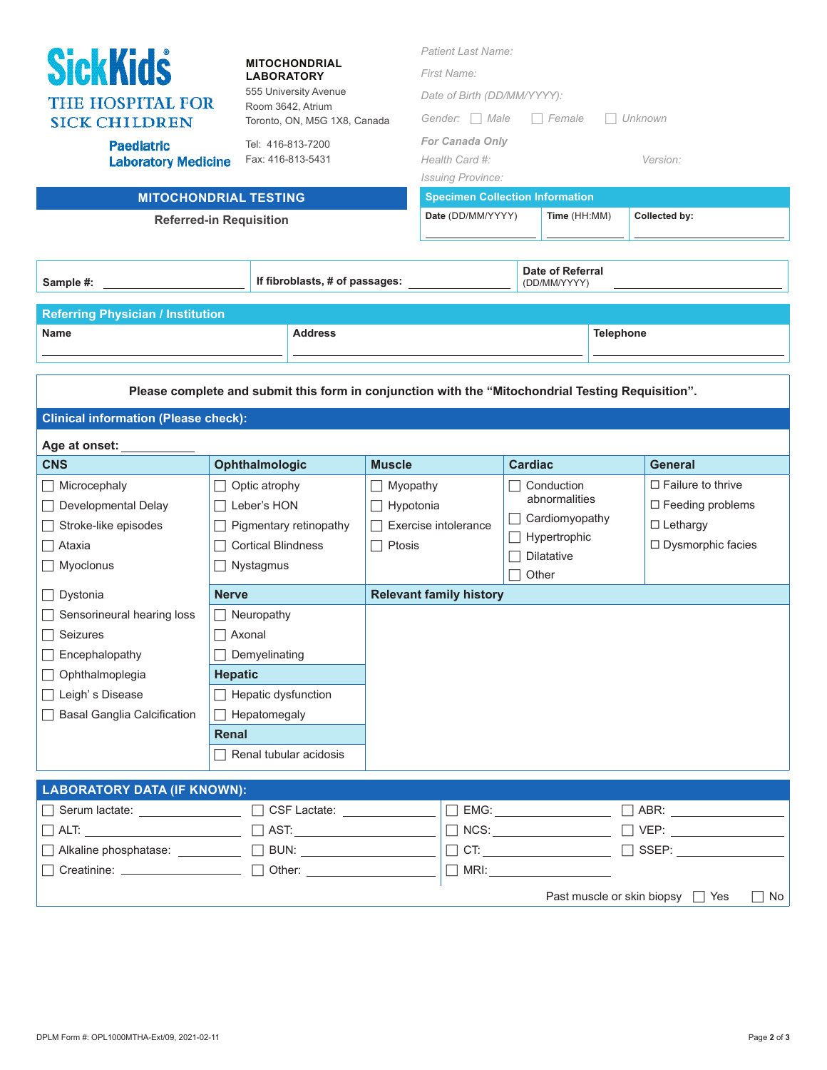| <b>SickKids</b><br><b>MITOCHONDRIAL</b><br><b>LABORATORY</b><br>555 University Avenue<br><b>THE HOSPITAL FOR</b><br>Room 3642, Atrium<br><b>SICK CHILDREN</b><br>Toronto, ON, M5G 1X8, Canada<br><b>Paediatric</b><br>Tel: 416-813-7200<br>Fax: 416-813-5431<br><b>Laboratory Medicine</b><br><b>MITOCHONDRIAL TESTING</b><br><b>Referred-in Requisition</b> |                                                                                                                                                                 |                                                         | <b>Patient Last Name:</b><br>First Name:<br>Date of Birth (DD/MM/YYYY):<br>Gender: Male<br>$\Box$ Female<br>Unknown<br><b>For Canada Only</b><br>Health Card #:<br>Version:<br><b>Issuing Province:</b><br><b>Specimen Collection Information</b><br>Date (DD/MM/YYYY)<br>Time (HH:MM)<br>Collected by: |                                                                                                                      |           |                                                                                                                 |  |
|--------------------------------------------------------------------------------------------------------------------------------------------------------------------------------------------------------------------------------------------------------------------------------------------------------------------------------------------------------------|-----------------------------------------------------------------------------------------------------------------------------------------------------------------|---------------------------------------------------------|---------------------------------------------------------------------------------------------------------------------------------------------------------------------------------------------------------------------------------------------------------------------------------------------------------|----------------------------------------------------------------------------------------------------------------------|-----------|-----------------------------------------------------------------------------------------------------------------|--|
| Sample #:                                                                                                                                                                                                                                                                                                                                                    | If fibroblasts, # of passages:                                                                                                                                  |                                                         | <b>Date of Referral</b><br>(DD/MM/YYYY)                                                                                                                                                                                                                                                                 |                                                                                                                      |           |                                                                                                                 |  |
| <b>Referring Physician / Institution</b><br><b>Name</b>                                                                                                                                                                                                                                                                                                      | <b>Address</b><br>Please complete and submit this form in conjunction with the "Mitochondrial Testing Requisition".                                             |                                                         |                                                                                                                                                                                                                                                                                                         |                                                                                                                      | Telephone |                                                                                                                 |  |
| <b>Clinical information (Please check):</b>                                                                                                                                                                                                                                                                                                                  |                                                                                                                                                                 |                                                         |                                                                                                                                                                                                                                                                                                         |                                                                                                                      |           |                                                                                                                 |  |
| Age at onset:                                                                                                                                                                                                                                                                                                                                                |                                                                                                                                                                 |                                                         |                                                                                                                                                                                                                                                                                                         |                                                                                                                      |           |                                                                                                                 |  |
| <b>CNS</b><br>Microcephaly<br>Developmental Delay<br>Stroke-like episodes<br>Ataxia<br>Myoclonus                                                                                                                                                                                                                                                             | Ophthalmologic<br>Optic atrophy<br>Leber's HON<br>Pigmentary retinopathy<br><b>Cortical Blindness</b><br>Nystagmus                                              | <b>Muscle</b><br>Myopathy<br>$\Box$ Hypotonia<br>Ptosis | Exercise intolerance                                                                                                                                                                                                                                                                                    | <b>Cardiac</b><br>$\Box$ Conduction<br>abnormalities<br>Cardiomyopathy<br>Hypertrophic<br><b>Dilatative</b><br>Other |           | <b>General</b><br>$\Box$ Failure to thrive<br>$\Box$ Feeding problems<br>$\Box$ Lethargy<br>□ Dysmorphic facies |  |
| Dystonia                                                                                                                                                                                                                                                                                                                                                     | <b>Nerve</b>                                                                                                                                                    |                                                         | <b>Relevant family history</b>                                                                                                                                                                                                                                                                          |                                                                                                                      |           |                                                                                                                 |  |
| Sensorineural hearing loss<br>$\Box$ Seizures<br>Encephalopathy<br>Ophthalmoplegia<br>$\Box$<br>Leigh's Disease<br><b>Basal Ganglia Calcification</b>                                                                                                                                                                                                        | $\Box$ Neuropathy<br>□ Axonal<br>Demyelinating<br><b>Hepatic</b><br>$\Box$ Hepatic dysfunction<br>$\Box$ Hepatomegaly<br>Renal<br>$\Box$ Renal tubular acidosis |                                                         |                                                                                                                                                                                                                                                                                                         |                                                                                                                      |           |                                                                                                                 |  |
| <b>LABORATORY DATA (IF KNOWN):</b>                                                                                                                                                                                                                                                                                                                           |                                                                                                                                                                 |                                                         |                                                                                                                                                                                                                                                                                                         |                                                                                                                      |           |                                                                                                                 |  |
| Serum lactate: <u>Serum lactate:</u><br>Alkaline phosphatase: ___________ [ BUN: ____________________                                                                                                                                                                                                                                                        |                                                                                                                                                                 |                                                         |                                                                                                                                                                                                                                                                                                         |                                                                                                                      |           | $\Box$ SSEP: __________________<br>Past muscle or skin biopsy □ Yes<br>$\Box$ No                                |  |